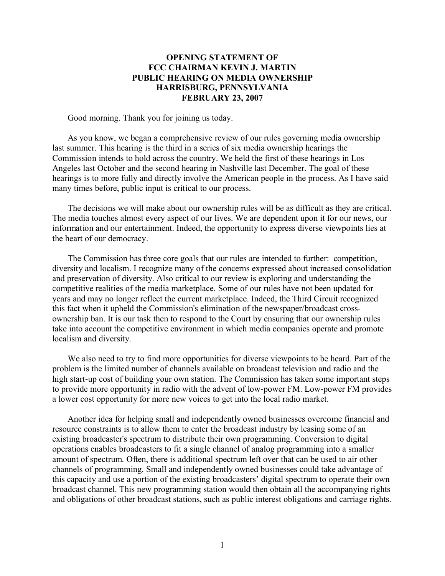## **OPENING STATEMENT OF FCC CHAIRMAN KEVIN J. MARTIN PUBLIC HEARING ON MEDIA OWNERSHIP HARRISBURG, PENNSYLVANIA FEBRUARY 23, 2007**

Good morning. Thank you for joining us today.

As you know, we began a comprehensive review of our rules governing media ownership last summer. This hearing is the third in a series of six media ownership hearings the Commission intends to hold across the country. We held the first of these hearings in Los Angeles last October and the second hearing in Nashville last December. The goal of these hearings is to more fully and directly involve the American people in the process. As I have said many times before, public input is critical to our process.

The decisions we will make about our ownership rules will be as difficult as they are critical. The media touches almost every aspect of our lives. We are dependent upon it for our news, our information and our entertainment. Indeed, the opportunity to express diverse viewpoints lies at the heart of our democracy.

The Commission has three core goals that our rules are intended to further: competition, diversity and localism. I recognize many of the concerns expressed about increased consolidation and preservation of diversity. Also critical to our review is exploring and understanding the competitive realities of the media marketplace. Some of our rules have not been updated for years and may no longer reflect the current marketplace. Indeed, the Third Circuit recognized this fact when it upheld the Commission's elimination of the newspaper/broadcast crossownership ban. It is our task then to respond to the Court by ensuring that our ownership rules take into account the competitive environment in which media companies operate and promote localism and diversity.

We also need to try to find more opportunities for diverse viewpoints to be heard. Part of the problem is the limited number of channels available on broadcast television and radio and the high start-up cost of building your own station. The Commission has taken some important steps to provide more opportunity in radio with the advent of low-power FM. Low-power FM provides a lower cost opportunity for more new voices to get into the local radio market.

Another idea for helping small and independently owned businesses overcome financial and resource constraints is to allow them to enter the broadcast industry by leasing some of an existing broadcaster's spectrum to distribute their own programming. Conversion to digital operations enables broadcasters to fit a single channel of analog programming into a smaller amount of spectrum. Often, there is additional spectrum left over that can be used to air other channels of programming. Small and independently owned businesses could take advantage of this capacity and use a portion of the existing broadcasters' digital spectrum to operate their own broadcast channel. This new programming station would then obtain all the accompanying rights and obligations of other broadcast stations, such as public interest obligations and carriage rights.